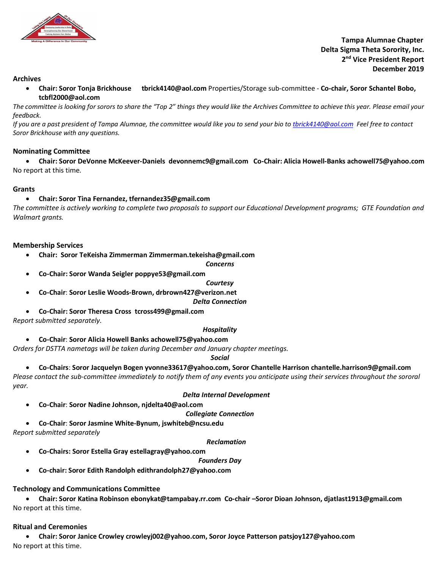

 **Tampa Alumnae Chapter Delta Sigma Theta Sorority, Inc. 2nd Vice President Report December 2019**

### **Archives**

• **Chair: Soror Tonja Brickhouse tbrick4140@aol.com** Properties/Storage sub-committee - **Co-chair, Soror Schantel Bobo, tcbfl2000@aol.com**

*The committee is looking for sorors to share the "Top 2" things they would like the Archives Committee to achieve this year. Please email your feedback.* 

*If you are a past president of Tampa Alumnae, the committee would like you to send your bio to tbrick4140@aol.com Feel free to contact Soror Brickhouse with any questions.* 

### **Nominating Committee**

• **Chair: Soror DeVonne McKeever-Daniels devonnemc9@gmail.com Co-Chair: Alicia Howell-Banks achowell75@yahoo.com** No report at this time*.* 

### **Grants**

### • **Chair: Soror Tina Fernandez, tfernandez35@gmail.com**

*The committee is actively working to complete two proposals to support our Educational Development programs; GTE Foundation and Walmart grants.*

### **Membership Services**

• **Chair: Soror TeKeisha Zimmerman Zimmerman.tekeisha@gmail.com**

#### *Concerns*

• **Co-Chair: Soror Wanda Seigler poppye53@gmail.com**

#### *Courtesy*

• **Co-Chair**: **Soror Leslie Woods-Brown, drbrown427@verizon.net**

#### *Delta Connection*

• **Co-Chair: Soror Theresa Cross tcross499@gmail.com**

*Report submitted separately.*

### *Hospitality*

• **Co-Chair**: **Soror Alicia Howell Banks achowell75@yahoo.com**

*Orders for DSTTA nametags will be taken during December and January chapter meetings.*

*Social*

• **Co-Chairs**: **Soror Jacquelyn Bogen yvonne33617@yahoo.com, Soror Chantelle Harrison chantelle.harrison9@gmail.com**

*Please contact the sub-committee immediately to notify them of any events you anticipate using their services throughout the sororal year.* 

#### *Delta Internal Development*

• **Co-Chair**: **Soror Nadine Johnson, njdelta40@aol.com**

*Collegiate Connection*

• **Co-Chair**: **Soror Jasmine White-Bynum, jswhiteb@ncsu.edu**

*Report submitted separately*

### *Reclamation*

- **Co-Chairs: Soror Estella Gray estellagray@yahoo.com** 
	- *Founders Day*
- **Co-chair: Soror Edith Randolph edithrandolph27@yahoo.com**

### **Technology and Communications Committee**

• **Chair: Soror Katina Robinson ebonykat@tampabay.rr.com Co-chair –Soror Dioan Johnson, djatlast1913@gmail.com** No report at this time.

### **Ritual and Ceremonies**

• **Chair: Soror Janice Crowley crowleyj002@yahoo.com, Soror Joyce Patterson patsjoy127@yahoo.com** No report at this time.